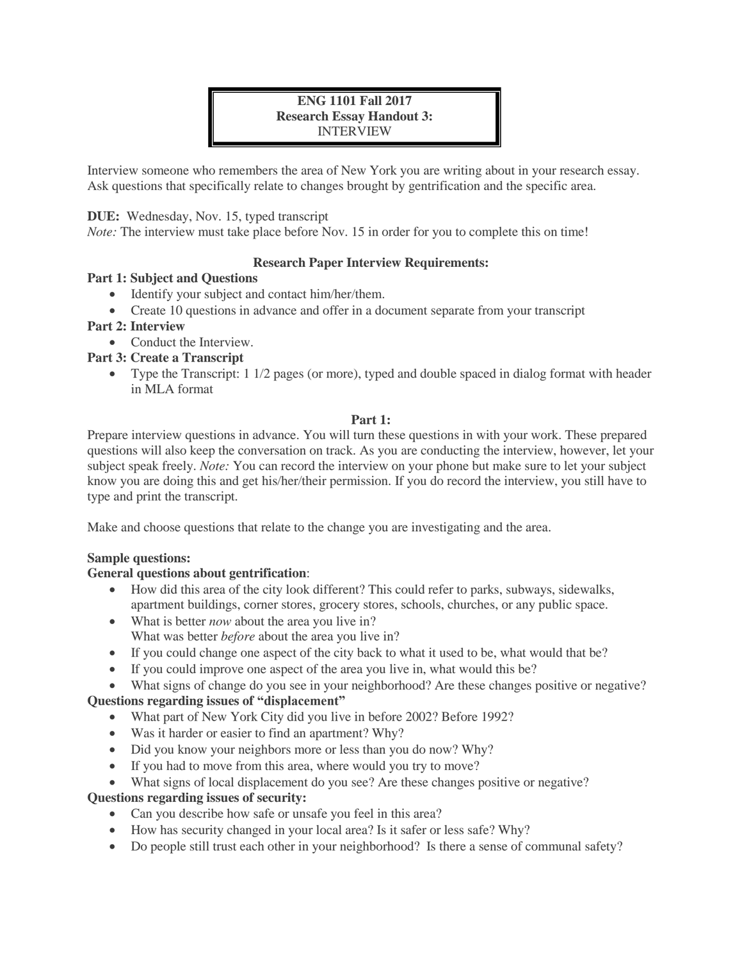## **ENG 1101 Fall 2017 Research Essay Handout 3:**  INTERVIEW

Interview someone who remembers the area of New York you are writing about in your research essay. Ask questions that specifically relate to changes brought by gentrification and the specific area.

## **DUE:** Wednesday, Nov. 15, typed transcript

*Note:* The interview must take place before Nov. 15 in order for you to complete this on time!

## **Research Paper Interview Requirements:**

#### **Part 1: Subject and Questions**

- Identify your subject and contact him/her/them.
- Create 10 questions in advance and offer in a document separate from your transcript

## **Part 2: Interview**

• Conduct the Interview.

## **Part 3: Create a Transcript**

 Type the Transcript: 1 1/2 pages (or more), typed and double spaced in dialog format with header in MLA format

## **Part 1:**

Prepare interview questions in advance. You will turn these questions in with your work. These prepared questions will also keep the conversation on track. As you are conducting the interview, however, let your subject speak freely. *Note:* You can record the interview on your phone but make sure to let your subject know you are doing this and get his/her/their permission. If you do record the interview, you still have to type and print the transcript.

Make and choose questions that relate to the change you are investigating and the area.

#### **Sample questions:**

## **General questions about gentrification**:

- How did this area of the city look different? This could refer to parks, subways, sidewalks, apartment buildings, corner stores, grocery stores, schools, churches, or any public space.
- What is better *now* about the area you live in? What was better *before* about the area you live in?
- If you could change one aspect of the city back to what it used to be, what would that be?
- If you could improve one aspect of the area you live in, what would this be?

 What signs of change do you see in your neighborhood? Are these changes positive or negative? **Questions regarding issues of "displacement"**

- What part of New York City did you live in before 2002? Before 1992?
- Was it harder or easier to find an apartment? Why?
- Did you know your neighbors more or less than you do now? Why?
- If you had to move from this area, where would you try to move?
- What signs of local displacement do you see? Are these changes positive or negative?

#### **Questions regarding issues of security:**

- Can you describe how safe or unsafe you feel in this area?
- How has security changed in your local area? Is it safer or less safe? Why?
- Do people still trust each other in your neighborhood? Is there a sense of communal safety?